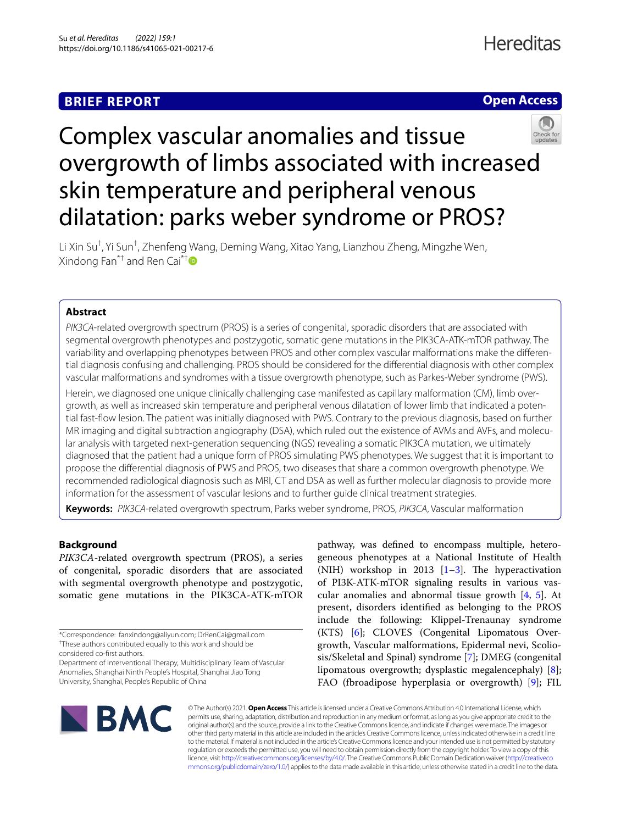## **BRIEF REPORT**



# Complex vascular anomalies and tissue overgrowth of limbs associated with increased skin temperature and peripheral venous dilatation: parks weber syndrome or PROS?

Li Xin Su<sup>†</sup>, Yi Sun<sup>†</sup>, Zhenfeng Wang, Deming Wang, Xitao Yang, Lianzhou Zheng, Mingzhe Wen, Xindong Fan<sup>\*[†](http://orcid.org/0000-0002-6025-0170)</sup> and Ren Cai<sup>\*†</sup>

## **Abstract**

*PIK3CA*-related overgrowth spectrum (PROS) is a series of congenital, sporadic disorders that are associated with segmental overgrowth phenotypes and postzygotic, somatic gene mutations in the PIK3CA-ATK-mTOR pathway. The variability and overlapping phenotypes between PROS and other complex vascular malformations make the diferential diagnosis confusing and challenging. PROS should be considered for the diferential diagnosis with other complex vascular malformations and syndromes with a tissue overgrowth phenotype, such as Parkes-Weber syndrome (PWS).

Herein, we diagnosed one unique clinically challenging case manifested as capillary malformation (CM), limb overgrowth, as well as increased skin temperature and peripheral venous dilatation of lower limb that indicated a potential fast-fow lesion. The patient was initially diagnosed with PWS. Contrary to the previous diagnosis, based on further MR imaging and digital subtraction angiography (DSA), which ruled out the existence of AVMs and AVFs, and molecular analysis with targeted next-generation sequencing (NGS) revealing a somatic PIK3CA mutation, we ultimately diagnosed that the patient had a unique form of PROS simulating PWS phenotypes. We suggest that it is important to propose the diferential diagnosis of PWS and PROS, two diseases that share a common overgrowth phenotype. We recommended radiological diagnosis such as MRI, CT and DSA as well as further molecular diagnosis to provide more information for the assessment of vascular lesions and to further guide clinical treatment strategies.

**Keywords:** *PIK3CA*-related overgrowth spectrum, Parks weber syndrome, PROS, *PIK3CA*, Vascular malformation

## **Background**

*PIK3CA*-related overgrowth spectrum (PROS), a series of congenital, sporadic disorders that are associated with segmental overgrowth phenotype and postzygotic, somatic gene mutations in the PIK3CA-ATK-mTOR pathway, was defned to encompass multiple, heterogeneous phenotypes at a National Institute of Health (NIH) workshop in 201[3](#page-3-1)  $[1-3]$ . The hyperactivation of PI3K-ATK-mTOR signaling results in various vascular anomalies and abnormal tissue growth [[4](#page-3-2), [5\]](#page-3-3). At present, disorders identifed as belonging to the PROS include the following: Klippel-Trenaunay syndrome (KTS) [[6\]](#page-3-4); CLOVES (Congenital Lipomatous Overgrowth, Vascular malformations, Epidermal nevi, Scoliosis/Skeletal and Spinal) syndrome [\[7](#page-3-5)]; DMEG (congenital lipomatous overgrowth; dysplastic megalencephaly) [\[8](#page-4-0)]; FAO (fbroadipose hyperplasia or overgrowth) [\[9](#page-4-1)]; FIL



© The Author(s) 2021. **Open Access** This article is licensed under a Creative Commons Attribution 4.0 International License, which permits use, sharing, adaptation, distribution and reproduction in any medium or format, as long as you give appropriate credit to the original author(s) and the source, provide a link to the Creative Commons licence, and indicate if changes were made. The images or other third party material in this article are included in the article's Creative Commons licence, unless indicated otherwise in a credit line to the material. If material is not included in the article's Creative Commons licence and your intended use is not permitted by statutory regulation or exceeds the permitted use, you will need to obtain permission directly from the copyright holder. To view a copy of this licence, visit [http://creativecommons.org/licenses/by/4.0/.](http://creativecommons.org/licenses/by/4.0/) The Creative Commons Public Domain Dedication waiver ([http://creativeco](http://creativecommons.org/publicdomain/zero/1.0/) [mmons.org/publicdomain/zero/1.0/](http://creativecommons.org/publicdomain/zero/1.0/)) applies to the data made available in this article, unless otherwise stated in a credit line to the data.

<sup>\*</sup>Correspondence: fanxindong@aliyun.com; DrRenCai@gmail.com † These authors contributed equally to this work and should be

considered co-frst authors.

Department of Interventional Therapy, Multidisciplinary Team of Vascular Anomalies, Shanghai Ninth People's Hospital, Shanghai Jiao Tong University, Shanghai, People's Republic of China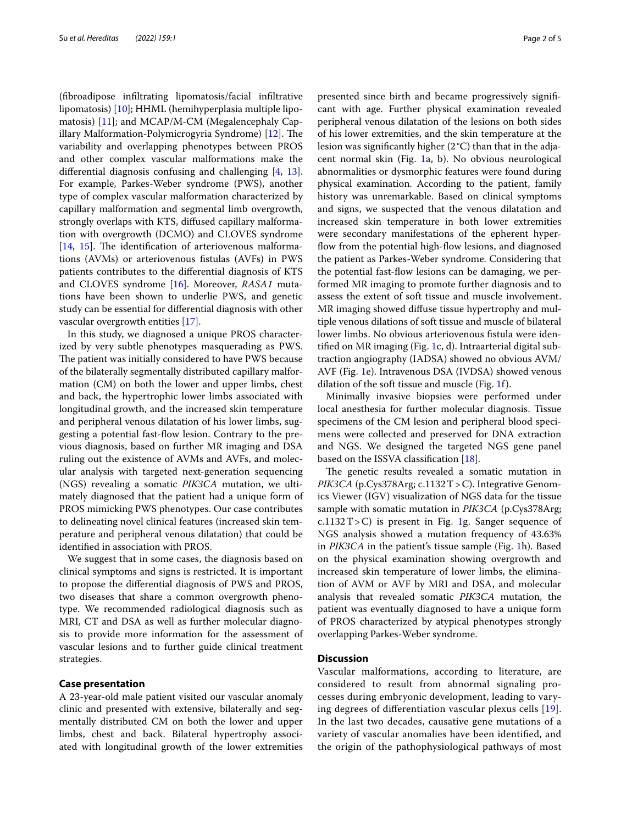(fbroadipose infltrating lipomatosis/facial infltrative lipomatosis) [\[10](#page-4-2)]; HHML (hemihyperplasia multiple lipomatosis) [\[11](#page-4-3)]; and MCAP/M-CM (Megalencephaly Cap-illary Malformation-Polymicrogyria Syndrome) [\[12\]](#page-4-4). The variability and overlapping phenotypes between PROS and other complex vascular malformations make the diferential diagnosis confusing and challenging [\[4](#page-3-2), [13](#page-4-5)]. For example, Parkes-Weber syndrome (PWS), another type of complex vascular malformation characterized by capillary malformation and segmental limb overgrowth, strongly overlaps with KTS, difused capillary malformation with overgrowth (DCMO) and CLOVES syndrome  $[14, 15]$  $[14, 15]$  $[14, 15]$  $[14, 15]$  $[14, 15]$ . The identification of arteriovenous malformations (AVMs) or arteriovenous fstulas (AVFs) in PWS patients contributes to the diferential diagnosis of KTS and CLOVES syndrome [\[16](#page-4-8)]. Moreover, *RASA1* mutations have been shown to underlie PWS, and genetic study can be essential for diferential diagnosis with other vascular overgrowth entities [[17](#page-4-9)].

In this study, we diagnosed a unique PROS characterized by very subtle phenotypes masquerading as PWS. The patient was initially considered to have PWS because of the bilaterally segmentally distributed capillary malformation (CM) on both the lower and upper limbs, chest and back, the hypertrophic lower limbs associated with longitudinal growth, and the increased skin temperature and peripheral venous dilatation of his lower limbs, suggesting a potential fast-fow lesion. Contrary to the previous diagnosis, based on further MR imaging and DSA ruling out the existence of AVMs and AVFs, and molecular analysis with targeted next-generation sequencing (NGS) revealing a somatic *PIK3CA* mutation, we ultimately diagnosed that the patient had a unique form of PROS mimicking PWS phenotypes. Our case contributes to delineating novel clinical features (increased skin temperature and peripheral venous dilatation) that could be identifed in association with PROS.

We suggest that in some cases, the diagnosis based on clinical symptoms and signs is restricted. It is important to propose the diferential diagnosis of PWS and PROS, two diseases that share a common overgrowth phenotype. We recommended radiological diagnosis such as MRI, CT and DSA as well as further molecular diagnosis to provide more information for the assessment of vascular lesions and to further guide clinical treatment strategies.

#### **Case presentation**

A 23-year-old male patient visited our vascular anomaly clinic and presented with extensive, bilaterally and segmentally distributed CM on both the lower and upper limbs, chest and back. Bilateral hypertrophy associated with longitudinal growth of the lower extremities presented since birth and became progressively signifcant with age. Further physical examination revealed peripheral venous dilatation of the lesions on both sides of his lower extremities, and the skin temperature at the lesion was signifcantly higher (2°C) than that in the adjacent normal skin (Fig. [1a](#page-2-0), b). No obvious neurological abnormalities or dysmorphic features were found during physical examination. According to the patient, family history was unremarkable. Based on clinical symptoms and signs, we suspected that the venous dilatation and increased skin temperature in both lower extremities were secondary manifestations of the epherent hyperflow from the potential high-flow lesions, and diagnosed the patient as Parkes-Weber syndrome. Considering that the potential fast-fow lesions can be damaging, we performed MR imaging to promote further diagnosis and to assess the extent of soft tissue and muscle involvement. MR imaging showed difuse tissue hypertrophy and multiple venous dilations of soft tissue and muscle of bilateral lower limbs. No obvious arteriovenous fstula were identifed on MR imaging (Fig. [1c](#page-2-0), d). Intraarterial digital subtraction angiography (IADSA) showed no obvious AVM/ AVF (Fig. [1](#page-2-0)e). Intravenous DSA (IVDSA) showed venous dilation of the soft tissue and muscle (Fig. [1](#page-2-0)f).

Minimally invasive biopsies were performed under local anesthesia for further molecular diagnosis. Tissue specimens of the CM lesion and peripheral blood specimens were collected and preserved for DNA extraction and NGS. We designed the targeted NGS gene panel based on the ISSVA classifcation [[18\]](#page-4-10).

The genetic results revealed a somatic mutation in *PIK3CA* (p.Cys378Arg; c.1132T>C). Integrative Genomics Viewer (IGV) visualization of NGS data for the tissue sample with somatic mutation in *PIK3CA* (p.Cys378Arg;  $c.1132T>C$  $c.1132T>C$  $c.1132T>C$ ) is present in Fig. 1g. Sanger sequence of NGS analysis showed a mutation frequency of 43.63% in *PIK3CA* in the patient's tissue sample (Fig. [1](#page-2-0)h). Based on the physical examination showing overgrowth and increased skin temperature of lower limbs, the elimination of AVM or AVF by MRI and DSA, and molecular analysis that revealed somatic *PIK3CA* mutation, the patient was eventually diagnosed to have a unique form of PROS characterized by atypical phenotypes strongly overlapping Parkes-Weber syndrome.

## **Discussion**

Vascular malformations, according to literature, are considered to result from abnormal signaling processes during embryonic development, leading to varying degrees of diferentiation vascular plexus cells [[19](#page-4-11)]. In the last two decades, causative gene mutations of a variety of vascular anomalies have been identifed, and the origin of the pathophysiological pathways of most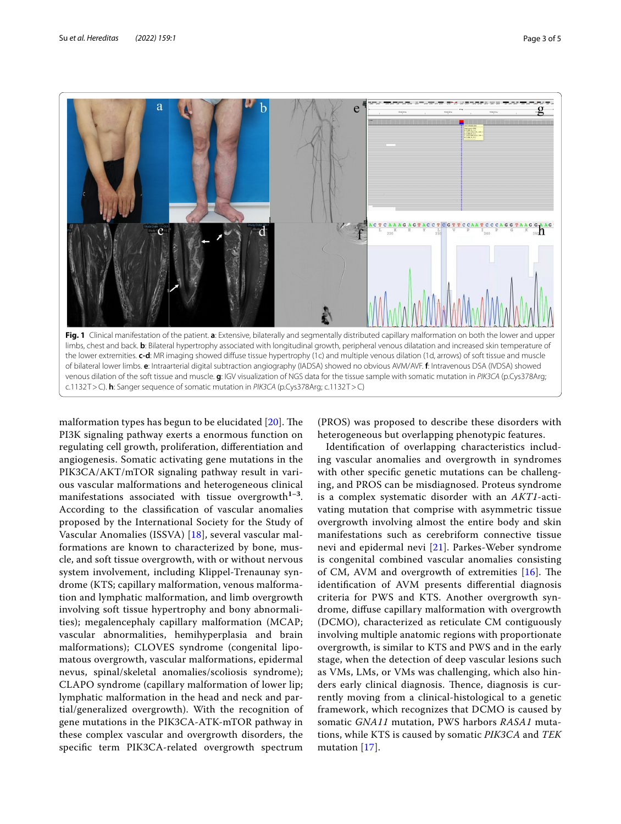

<span id="page-2-0"></span>malformation types has begun to be elucidated  $[20]$  $[20]$  $[20]$ . The PI3K signaling pathway exerts a enormous function on regulating cell growth, proliferation, diferentiation and angiogenesis. Somatic activating gene mutations in the PIK3CA/AKT/mTOR signaling pathway result in various vascular malformations and heterogeneous clinical manifestations associated with tissue overgrowth**1–3**. According to the classifcation of vascular anomalies proposed by the International Society for the Study of Vascular Anomalies (ISSVA) [\[18](#page-4-10)], several vascular malformations are known to characterized by bone, muscle, and soft tissue overgrowth, with or without nervous system involvement, including Klippel-Trenaunay syndrome (KTS; capillary malformation, venous malformation and lymphatic malformation, and limb overgrowth involving soft tissue hypertrophy and bony abnormalities); megalencephaly capillary malformation (MCAP; vascular abnormalities, hemihyperplasia and brain malformations); CLOVES syndrome (congenital lipomatous overgrowth, vascular malformations, epidermal nevus, spinal/skeletal anomalies/scoliosis syndrome); CLAPO syndrome (capillary malformation of lower lip; lymphatic malformation in the head and neck and partial/generalized overgrowth). With the recognition of gene mutations in the PIK3CA-ATK-mTOR pathway in these complex vascular and overgrowth disorders, the specifc term PIK3CA-related overgrowth spectrum

(PROS) was proposed to describe these disorders with heterogeneous but overlapping phenotypic features.

Identifcation of overlapping characteristics including vascular anomalies and overgrowth in syndromes with other specifc genetic mutations can be challenging, and PROS can be misdiagnosed. Proteus syndrome is a complex systematic disorder with an *AKT1*-activating mutation that comprise with asymmetric tissue overgrowth involving almost the entire body and skin manifestations such as cerebriform connective tissue nevi and epidermal nevi [\[21](#page-4-13)]. Parkes-Weber syndrome is congenital combined vascular anomalies consisting of CM, AVM and overgrowth of extremities  $[16]$ . The identifcation of AVM presents diferential diagnosis criteria for PWS and KTS. Another overgrowth syndrome, difuse capillary malformation with overgrowth (DCMO), characterized as reticulate CM contiguously involving multiple anatomic regions with proportionate overgrowth, is similar to KTS and PWS and in the early stage, when the detection of deep vascular lesions such as VMs, LMs, or VMs was challenging, which also hinders early clinical diagnosis. Thence, diagnosis is currently moving from a clinical-histological to a genetic framework, which recognizes that DCMO is caused by somatic *GNA11* mutation, PWS harbors *RASA1* mutations, while KTS is caused by somatic *PIK3CA* and *TEK* mutation [\[17](#page-4-9)].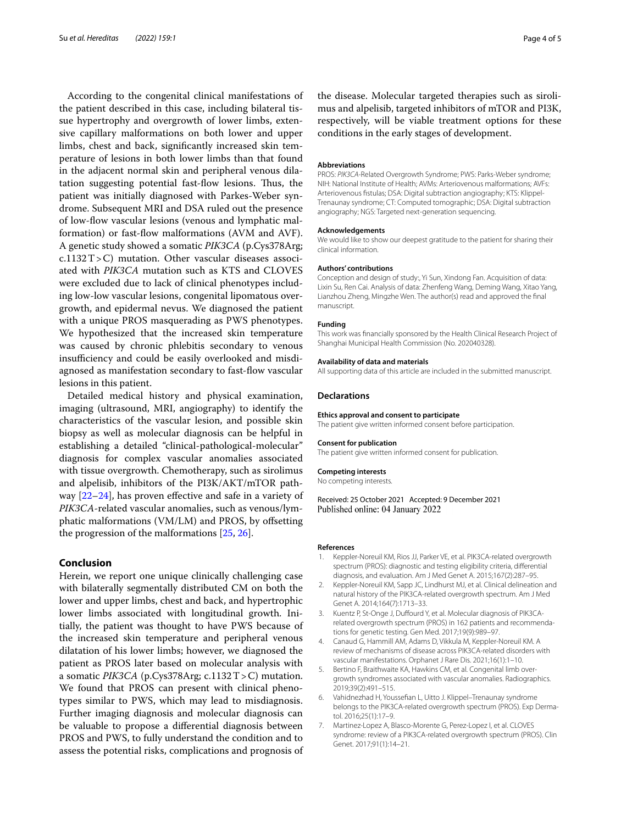According to the congenital clinical manifestations of the patient described in this case, including bilateral tissue hypertrophy and overgrowth of lower limbs, extensive capillary malformations on both lower and upper limbs, chest and back, signifcantly increased skin temperature of lesions in both lower limbs than that found in the adjacent normal skin and peripheral venous dilatation suggesting potential fast-fow lesions. Tus, the patient was initially diagnosed with Parkes-Weber syndrome. Subsequent MRI and DSA ruled out the presence of low-flow vascular lesions (venous and lymphatic malformation) or fast-fow malformations (AVM and AVF). A genetic study showed a somatic *PIK3CA* (p.Cys378Arg;  $c.1132T>C$ ) mutation. Other vascular diseases associated with *PIK3CA* mutation such as KTS and CLOVES were excluded due to lack of clinical phenotypes including low-low vascular lesions, congenital lipomatous overgrowth, and epidermal nevus. We diagnosed the patient with a unique PROS masquerading as PWS phenotypes. We hypothesized that the increased skin temperature was caused by chronic phlebitis secondary to venous insufficiency and could be easily overlooked and misdiagnosed as manifestation secondary to fast-fow vascular lesions in this patient.

Detailed medical history and physical examination, imaging (ultrasound, MRI, angiography) to identify the characteristics of the vascular lesion, and possible skin biopsy as well as molecular diagnosis can be helpful in establishing a detailed "clinical-pathological-molecular" diagnosis for complex vascular anomalies associated with tissue overgrowth. Chemotherapy, such as sirolimus and alpelisib, inhibitors of the PI3K/AKT/mTOR pathway  $[22-24]$  $[22-24]$  $[22-24]$ , has proven effective and safe in a variety of *PIK3CA*-related vascular anomalies, such as venous/lymphatic malformations (VM/LM) and PROS, by ofsetting the progression of the malformations [[25](#page-4-16), [26\]](#page-4-17).

## **Conclusion**

Herein, we report one unique clinically challenging case with bilaterally segmentally distributed CM on both the lower and upper limbs, chest and back, and hypertrophic lower limbs associated with longitudinal growth. Initially, the patient was thought to have PWS because of the increased skin temperature and peripheral venous dilatation of his lower limbs; however, we diagnosed the patient as PROS later based on molecular analysis with a somatic *PIK3CA* (p.Cys378Arg; c.1132T>C) mutation. We found that PROS can present with clinical phenotypes similar to PWS, which may lead to misdiagnosis. Further imaging diagnosis and molecular diagnosis can be valuable to propose a diferential diagnosis between PROS and PWS, to fully understand the condition and to assess the potential risks, complications and prognosis of the disease. Molecular targeted therapies such as sirolimus and alpelisib, targeted inhibitors of mTOR and PI3K, respectively, will be viable treatment options for these conditions in the early stages of development.

#### **Abbreviations**

PROS: *PIK3CA*-Related Overgrowth Syndrome; PWS: Parks-Weber syndrome; NIH: National Institute of Health; AVMs: Arteriovenous malformations; AVFs: Arteriovenous fstulas; DSA: Digital subtraction angiography; KTS: Klippel-Trenaunay syndrome; CT: Computed tomographic; DSA: Digital subtraction angiography; NGS: Targeted next-generation sequencing.

#### **Acknowledgements**

We would like to show our deepest gratitude to the patient for sharing their clinical information.

#### **Authors' contributions**

Conception and design of study:, Yi Sun, Xindong Fan. Acquisition of data: Lixin Su, Ren Cai. Analysis of data: Zhenfeng Wang, Deming Wang, Xitao Yang, Lianzhou Zheng, Mingzhe Wen. The author(s) read and approved the fnal manuscript.

#### **Funding**

This work was fnancially sponsored by the Health Clinical Research Project of Shanghai Municipal Health Commission (No. 202040328).

#### **Availability of data and materials**

All supporting data of this article are included in the submitted manuscript.

#### **Declarations**

#### **Ethics approval and consent to participate**

The patient give written informed consent before participation.

#### **Consent for publication**

The patient give written informed consent for publication.

#### **Competing interests**

No competing interests.

Received: 25 October 2021 Accepted: 9 December 2021 Published online: 04 January 2022

#### **References**

- <span id="page-3-0"></span>Keppler-Noreuil KM, Rios JJ, Parker VE, et al. PIK3CA-related overgrowth spectrum (PROS): diagnostic and testing eligibility criteria, diferential diagnosis, and evaluation. Am J Med Genet A. 2015;167(2):287–95.
- 2. Keppler-Noreuil KM, Sapp JC, Lindhurst MJ, et al. Clinical delineation and natural history of the PIK3CA-related overgrowth spectrum. Am J Med Genet A. 2014;164(7):1713–33.
- <span id="page-3-1"></span>3. Kuentz P, St-Onge J, Duffourd Y, et al. Molecular diagnosis of PIK3CArelated overgrowth spectrum (PROS) in 162 patients and recommendations for genetic testing. Gen Med. 2017;19(9):989–97.
- <span id="page-3-2"></span>4. Canaud G, Hammill AM, Adams D, Vikkula M, Keppler-Noreuil KM. A review of mechanisms of disease across PIK3CA-related disorders with vascular manifestations. Orphanet J Rare Dis. 2021;16(1):1–10.
- <span id="page-3-3"></span>5. Bertino F, Braithwaite KA, Hawkins CM, et al. Congenital limb overgrowth syndromes associated with vascular anomalies. Radiographics. 2019;39(2):491–515.
- <span id="page-3-4"></span>6. Vahidnezhad H, Youssefan L, Uitto J. Klippel–Trenaunay syndrome belongs to the PIK3CA-related overgrowth spectrum (PROS). Exp Dermatol. 2016;25(1):17–9.
- <span id="page-3-5"></span>7. Martinez-Lopez A, Blasco-Morente G, Perez-Lopez I, et al. CLOVES syndrome: review of a PIK3CA-related overgrowth spectrum (PROS). Clin Genet. 2017;91(1):14–21.